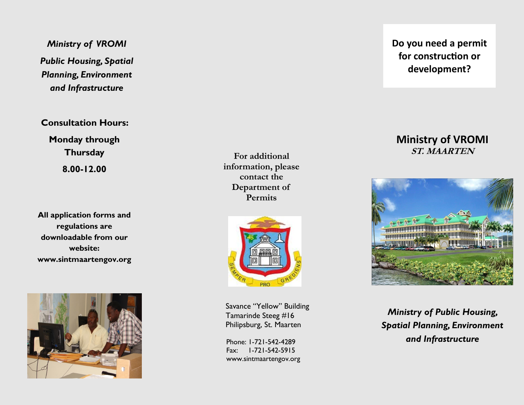*Ministry of VROMI*

*Public Housing, Spatial Planning, Environment and Infrastructure*

**Consultation Hours:** 

**Monday through Thursday 8.00-12.00**

**All application forms and regulations are downloadable from our website: www.sintmaartengov.org**



**For additional information, please contact the Department of Permits** 



 Savance "Yellow" Building Tamarinde Steeg #16 Philipsburg, St. Maarten

 Phone: 1-721-542-4289 Fax: 1-721-542-5915 www.sintmaartengov.org **Do you need a permit for construction or development?**

# **Ministry of VROMI ST. MAARTEN**



*Ministry of Public Housing, Spatial Planning, Environment and Infrastructure*